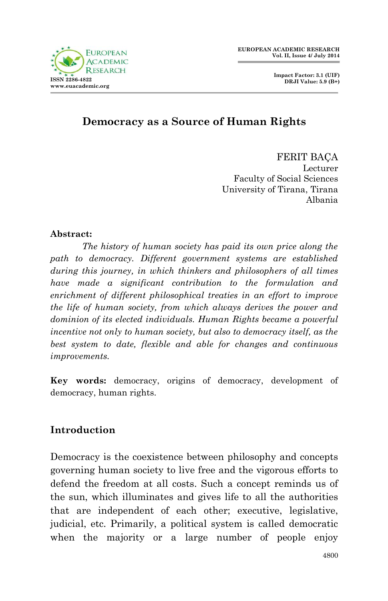

 **Impact Factor: 3.1 (UIF) DRJI Value: 5.9 (B+)**

### **Democracy as a Source of Human Rights**

FERIT BAÇA Lecturer Faculty of Social Sciences University of Tirana, Tirana Albania

#### **Abstract:**

*The history of human society has paid its own price along the path to democracy. Different government systems are established during this journey, in which thinkers and philosophers of all times have made a significant contribution to the formulation and enrichment of different philosophical treaties in an effort to improve the life of human society, from which always derives the power and dominion of its elected individuals. Human Rights became a powerful incentive not only to human society, but also to democracy itself, as the best system to date, flexible and able for changes and continuous improvements.* 

**Key words:** democracy, origins of democracy, development of democracy, human rights.

### **Introduction**

Democracy is the coexistence between philosophy and concepts governing human society to live free and the vigorous efforts to defend the freedom at all costs. Such a concept reminds us of the sun, which illuminates and gives life to all the authorities that are independent of each other; executive, legislative, judicial, etc. Primarily, a political system is called democratic when the majority or a large number of people enjoy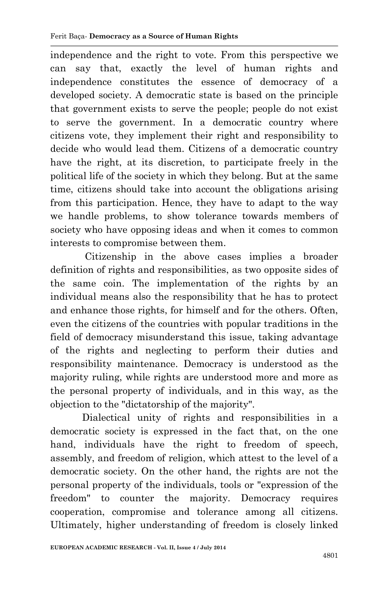independence and the right to vote. From this perspective we can say that, exactly the level of human rights and independence constitutes the essence of democracy of a developed society. A democratic state is based on the principle that government exists to serve the people; people do not exist to serve the government. In a democratic country where citizens vote, they implement their right and responsibility to decide who would lead them. Citizens of a democratic country have the right, at its discretion, to participate freely in the political life of the society in which they belong. But at the same time, citizens should take into account the obligations arising from this participation. Hence, they have to adapt to the way we handle problems, to show tolerance towards members of society who have opposing ideas and when it comes to common interests to compromise between them.

Citizenship in the above cases implies a broader definition of rights and responsibilities, as two opposite sides of the same coin. The implementation of the rights by an individual means also the responsibility that he has to protect and enhance those rights, for himself and for the others. Often, even the citizens of the countries with popular traditions in the field of democracy misunderstand this issue, taking advantage of the rights and neglecting to perform their duties and responsibility maintenance. Democracy is understood as the majority ruling, while rights are understood more and more as the personal property of individuals, and in this way, as the objection to the "dictatorship of the majority".

Dialectical unity of rights and responsibilities in a democratic society is expressed in the fact that, on the one hand, individuals have the right to freedom of speech, assembly, and freedom of religion, which attest to the level of a democratic society. On the other hand, the rights are not the personal property of the individuals, tools or "expression of the freedom" to counter the majority. Democracy requires cooperation, compromise and tolerance among all citizens. Ultimately, higher understanding of freedom is closely linked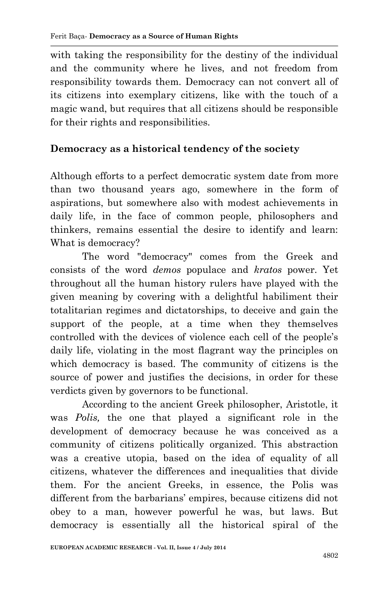with taking the responsibility for the destiny of the individual and the community where he lives, and not freedom from responsibility towards them. Democracy can not convert all of its citizens into exemplary citizens, like with the touch of a magic wand, but requires that all citizens should be responsible for their rights and responsibilities.

### **Democracy as a historical tendency of the society**

Although efforts to a perfect democratic system date from more than two thousand years ago, somewhere in the form of aspirations, but somewhere also with modest achievements in daily life, in the face of common people, philosophers and thinkers, remains essential the desire to identify and learn: What is democracy?

The word "democracy" comes from the Greek and consists of the word *demos* populace and *kratos* power. Yet throughout all the human history rulers have played with the given meaning by covering with a delightful habiliment their totalitarian regimes and dictatorships, to deceive and gain the support of the people, at a time when they themselves controlled with the devices of violence each cell of the people's daily life, violating in the most flagrant way the principles on which democracy is based. The community of citizens is the source of power and justifies the decisions, in order for these verdicts given by governors to be functional.

According to the ancient Greek philosopher, Aristotle, it was *Polis,* the one that played a significant role in the development of democracy because he was conceived as a community of citizens politically organized. This abstraction was a creative utopia, based on the idea of equality of all citizens, whatever the differences and inequalities that divide them. For the ancient Greeks, in essence, the Polis was different from the barbarians' empires, because citizens did not obey to a man, however powerful he was, but laws. But democracy is essentially all the historical spiral of the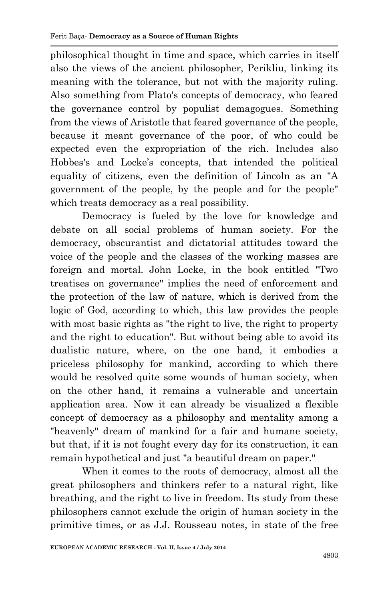philosophical thought in time and space, which carries in itself also the views of the ancient philosopher, Perikliu, linking its meaning with the tolerance, but not with the majority ruling. Also something from Plato's concepts of democracy, who feared the governance control by populist demagogues. Something from the views of Aristotle that feared governance of the people, because it meant governance of the poor, of who could be expected even the expropriation of the rich. Includes also Hobbes's and Locke's concepts, that intended the political equality of citizens, even the definition of Lincoln as an "A government of the people, by the people and for the people" which treats democracy as a real possibility.

Democracy is fueled by the love for knowledge and debate on all social problems of human society. For the democracy, obscurantist and dictatorial attitudes toward the voice of the people and the classes of the working masses are foreign and mortal. John Locke, in the book entitled "Two treatises on governance" implies the need of enforcement and the protection of the law of nature, which is derived from the logic of God, according to which, this law provides the people with most basic rights as "the right to live, the right to property and the right to education". But without being able to avoid its dualistic nature, where, on the one hand, it embodies a priceless philosophy for mankind, according to which there would be resolved quite some wounds of human society, when on the other hand, it remains a vulnerable and uncertain application area. Now it can already be visualized a flexible concept of democracy as a philosophy and mentality among a "heavenly" dream of mankind for a fair and humane society, but that, if it is not fought every day for its construction, it can remain hypothetical and just "a beautiful dream on paper."

When it comes to the roots of democracy, almost all the great philosophers and thinkers refer to a natural right, like breathing, and the right to live in freedom. Its study from these philosophers cannot exclude the origin of human society in the primitive times, or as J.J. Rousseau notes, in state of the free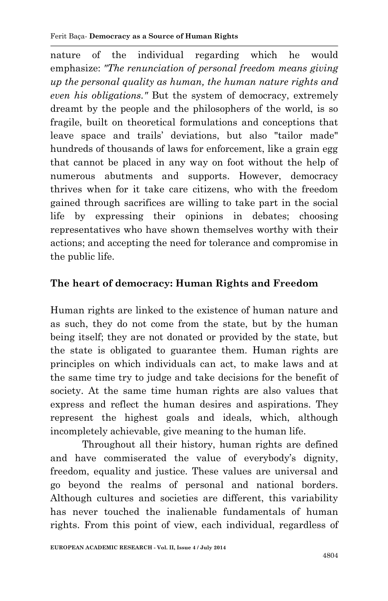nature of the individual regarding which he would emphasize: *"The renunciation of personal freedom means giving up the personal quality as human, the human nature rights and even his obligations."* But the system of democracy, extremely dreamt by the people and the philosophers of the world, is so fragile, built on theoretical formulations and conceptions that leave space and trails' deviations, but also "tailor made" hundreds of thousands of laws for enforcement, like a grain egg that cannot be placed in any way on foot without the help of numerous abutments and supports. However, democracy thrives when for it take care citizens, who with the freedom gained through sacrifices are willing to take part in the social life by expressing their opinions in debates; choosing representatives who have shown themselves worthy with their actions; and accepting the need for tolerance and compromise in the public life.

## **The heart of democracy: Human Rights and Freedom**

Human rights are linked to the existence of human nature and as such, they do not come from the state, but by the human being itself; they are not donated or provided by the state, but the state is obligated to guarantee them. Human rights are principles on which individuals can act, to make laws and at the same time try to judge and take decisions for the benefit of society. At the same time human rights are also values that express and reflect the human desires and aspirations. They represent the highest goals and ideals, which, although incompletely achievable, give meaning to the human life.

Throughout all their history, human rights are defined and have commiserated the value of everybody's dignity, freedom, equality and justice. These values are universal and go beyond the realms of personal and national borders. Although cultures and societies are different, this variability has never touched the inalienable fundamentals of human rights. From this point of view, each individual, regardless of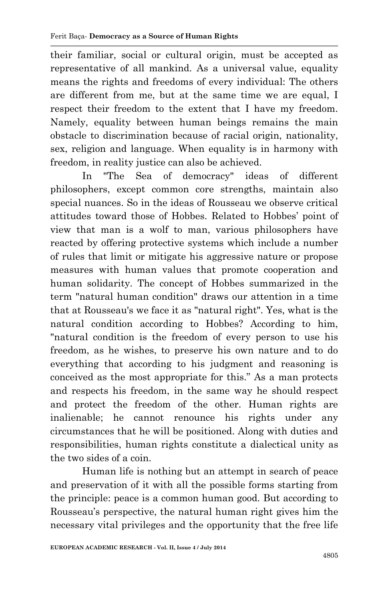their familiar, social or cultural origin, must be accepted as representative of all mankind. As a universal value, equality means the rights and freedoms of every individual: The others are different from me, but at the same time we are equal, I respect their freedom to the extent that I have my freedom. Namely, equality between human beings remains the main obstacle to discrimination because of racial origin, nationality, sex, religion and language. When equality is in harmony with freedom, in reality justice can also be achieved.

In "The Sea of democracy" ideas of different philosophers, except common core strengths, maintain also special nuances. So in the ideas of Rousseau we observe critical attitudes toward those of Hobbes. Related to Hobbes' point of view that man is a wolf to man, various philosophers have reacted by offering protective systems which include a number of rules that limit or mitigate his aggressive nature or propose measures with human values that promote cooperation and human solidarity. The concept of Hobbes summarized in the term "natural human condition" draws our attention in a time that at Rousseau's we face it as "natural right". Yes, what is the natural condition according to Hobbes? According to him, "natural condition is the freedom of every person to use his freedom, as he wishes, to preserve his own nature and to do everything that according to his judgment and reasoning is conceived as the most appropriate for this." As a man protects and respects his freedom, in the same way he should respect and protect the freedom of the other. Human rights are inalienable; he cannot renounce his rights under any circumstances that he will be positioned. Along with duties and responsibilities, human rights constitute a dialectical unity as the two sides of a coin.

Human life is nothing but an attempt in search of peace and preservation of it with all the possible forms starting from the principle: peace is a common human good. But according to Rousseau's perspective, the natural human right gives him the necessary vital privileges and the opportunity that the free life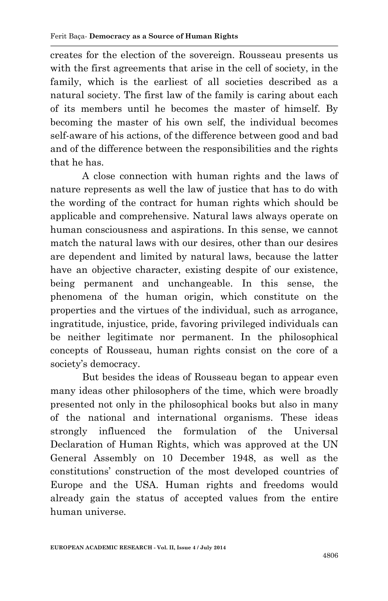creates for the election of the sovereign. Rousseau presents us with the first agreements that arise in the cell of society, in the family, which is the earliest of all societies described as a natural society. The first law of the family is caring about each of its members until he becomes the master of himself. By becoming the master of his own self, the individual becomes self-aware of his actions, of the difference between good and bad and of the difference between the responsibilities and the rights that he has.

A close connection with human rights and the laws of nature represents as well the law of justice that has to do with the wording of the contract for human rights which should be applicable and comprehensive. Natural laws always operate on human consciousness and aspirations. In this sense, we cannot match the natural laws with our desires, other than our desires are dependent and limited by natural laws, because the latter have an objective character, existing despite of our existence, being permanent and unchangeable. In this sense, the phenomena of the human origin, which constitute on the properties and the virtues of the individual, such as arrogance, ingratitude, injustice, pride, favoring privileged individuals can be neither legitimate nor permanent. In the philosophical concepts of Rousseau, human rights consist on the core of a society's democracy.

But besides the ideas of Rousseau began to appear even many ideas other philosophers of the time, which were broadly presented not only in the philosophical books but also in many of the national and international organisms. These ideas strongly influenced the formulation of the Universal Declaration of Human Rights, which was approved at the UN General Assembly on 10 December 1948, as well as the constitutions' construction of the most developed countries of Europe and the USA. Human rights and freedoms would already gain the status of accepted values from the entire human universe.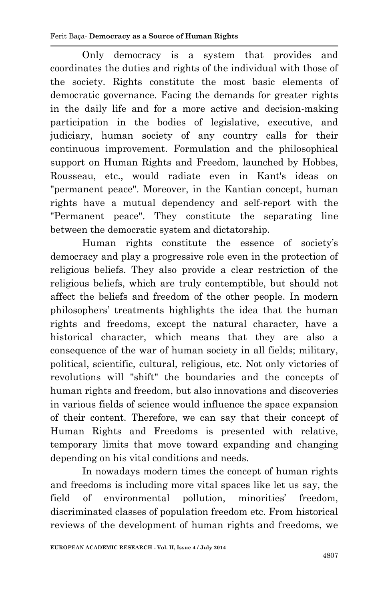Only democracy is a system that provides and coordinates the duties and rights of the individual with those of the society. Rights constitute the most basic elements of democratic governance. Facing the demands for greater rights in the daily life and for a more active and decision-making participation in the bodies of legislative, executive, and judiciary, human society of any country calls for their continuous improvement. Formulation and the philosophical support on Human Rights and Freedom, launched by Hobbes, Rousseau, etc., would radiate even in Kant's ideas on "permanent peace". Moreover, in the Kantian concept, human rights have a mutual dependency and self-report with the "Permanent peace". They constitute the separating line between the democratic system and dictatorship.

Human rights constitute the essence of society's democracy and play a progressive role even in the protection of religious beliefs. They also provide a clear restriction of the religious beliefs, which are truly contemptible, but should not affect the beliefs and freedom of the other people. In modern philosophers' treatments highlights the idea that the human rights and freedoms, except the natural character, have a historical character, which means that they are also a consequence of the war of human society in all fields; military, political, scientific, cultural, religious, etc. Not only victories of revolutions will "shift" the boundaries and the concepts of human rights and freedom, but also innovations and discoveries in various fields of science would influence the space expansion of their content. Therefore, we can say that their concept of Human Rights and Freedoms is presented with relative, temporary limits that move toward expanding and changing depending on his vital conditions and needs.

In nowadays modern times the concept of human rights and freedoms is including more vital spaces like let us say, the field of environmental pollution, minorities' freedom, discriminated classes of population freedom etc. From historical reviews of the development of human rights and freedoms, we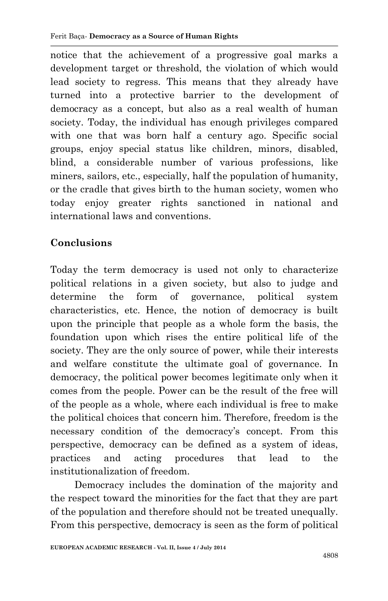notice that the achievement of a progressive goal marks a development target or threshold, the violation of which would lead society to regress. This means that they already have turned into a protective barrier to the development of democracy as a concept, but also as a real wealth of human society. Today, the individual has enough privileges compared with one that was born half a century ago. Specific social groups, enjoy special status like children, minors, disabled, blind, a considerable number of various professions, like miners, sailors, etc., especially, half the population of humanity, or the cradle that gives birth to the human society, women who today enjoy greater rights sanctioned in national and international laws and conventions.

## **Conclusions**

Today the term democracy is used not only to characterize political relations in a given society, but also to judge and determine the form of governance, political system characteristics, etc. Hence, the notion of democracy is built upon the principle that people as a whole form the basis, the foundation upon which rises the entire political life of the society. They are the only source of power, while their interests and welfare constitute the ultimate goal of governance. In democracy, the political power becomes legitimate only when it comes from the people. Power can be the result of the free will of the people as a whole, where each individual is free to make the political choices that concern him. Therefore, freedom is the necessary condition of the democracy's concept. From this perspective, democracy can be defined as a system of ideas, practices and acting procedures that lead to the institutionalization of freedom.

 Democracy includes the domination of the majority and the respect toward the minorities for the fact that they are part of the population and therefore should not be treated unequally. From this perspective, democracy is seen as the form of political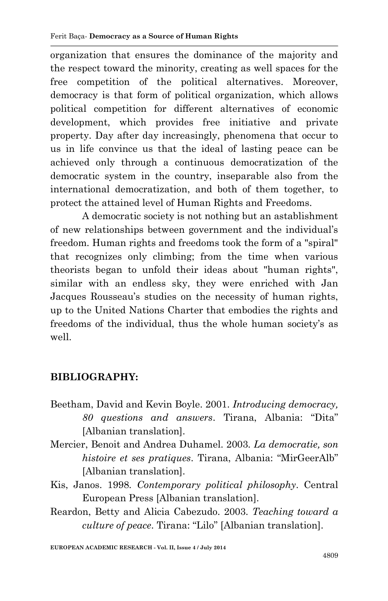organization that ensures the dominance of the majority and the respect toward the minority, creating as well spaces for the free competition of the political alternatives. Moreover, democracy is that form of political organization, which allows political competition for different alternatives of economic development, which provides free initiative and private property. Day after day increasingly, phenomena that occur to us in life convince us that the ideal of lasting peace can be achieved only through a continuous democratization of the democratic system in the country, inseparable also from the international democratization, and both of them together, to protect the attained level of Human Rights and Freedoms.

A democratic society is not nothing but an astablishment of new relationships between government and the individual's freedom. Human rights and freedoms took the form of a "spiral" that recognizes only climbing; from the time when various theorists began to unfold their ideas about "human rights", similar with an endless sky, they were enriched with Jan Jacques Rousseau's studies on the necessity of human rights, up to the United Nations Charter that embodies the rights and freedoms of the individual, thus the whole human society's as well.

# **BIBLIOGRAPHY:**

- Beetham, David and Kevin Boyle. 2001. *Introducing democracy, 80 questions and answers*. Tirana, Albania: "Dita" [Albanian translation].
- Mercier, Benoit and Andrea Duhamel. 2003. *La democratie, son histoire et ses pratiques*. Tirana, Albania: "MirGeerAlb" [Albanian translation].
- Kis, Janos. 1998. *Contemporary political philosophy*. Central European Press [Albanian translation].
- Reardon, Betty and Alicia Cabezudo. 2003. *Teaching toward a culture of peace*. Tirana: "Lilo" [Albanian translation].